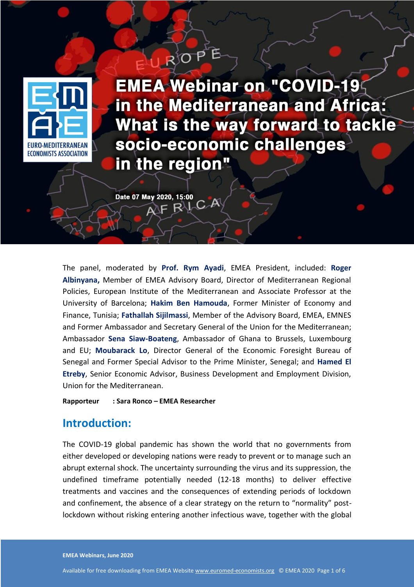

**the region?**

**EMEA Webinar on "COVID-19** in the Mediterranean and Africa: What is the way forward to tackle socio-economic challenges in the region"

Date 07 May 2020, 15:00  $F R \cup C A$ 

The panel, moderated by **Prof. Rym Ayadi**, EMEA President, included: **Roger Albinyana,** Member of EMEA Advisory Board, Director of Mediterranean Regional Policies, European Institute of the Mediterranean and Associate Professor at the University of Barcelona; **Hakim Ben Hamouda**, Former Minister of Economy and Finance, Tunisia; **Fathallah Sijilmassi**, Member of the Advisory Board, EMEA, EMNES and Former Ambassador and Secretary General of the Union for the Mediterranean; Ambassador **Sena Siaw-Boateng**, Ambassador of Ghana to Brussels, Luxembourg and EU; **Moubarack Lo**, Director General of the Economic Foresight Bureau of Senegal and Former Special Advisor to the Prime Minister, Senegal; and **Hamed El Etreby**, Senior Economic Advisor, Business Development and Employment Division, Union for the Mediterranean.

**EMEA Webinar on the COVID-19 in the Mediterranean and Africa:**  What is the way of the way of the way of the way of the way of the way of the way of the way of the way of the way of the way of the way of the way of the way of the way of the way of the way of the way of the way of the w

**Rapporteur : Sara Ronco – EMEA Researcher**

### **Introduction:**

The COVID-19 global pandemic has shown the world that no governments from either developed or developing nations were ready to prevent or to manage such an abrupt external shock. The uncertainty surrounding the virus and its suppression, the undefined timeframe potentially needed (12-18 months) to deliver effective treatments and vaccines and the consequences of extending periods of lockdown and confinement, the absence of a clear strategy on the return to "normality" postlockdown without risking entering another infectious wave, together with the global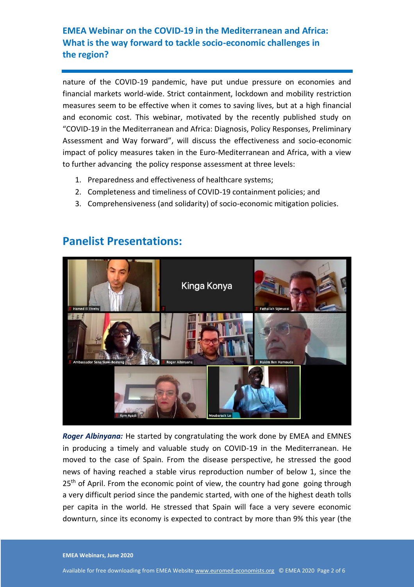nature of the COVID-19 pandemic, have put undue pressure on economies and financial markets world-wide. Strict containment, lockdown and mobility restriction measures seem to be effective when it comes to saving lives, but at a high financial and economic cost. This webinar, motivated by the recently published study on "COVID-19 in the Mediterranean and Africa: Diagnosis, Policy Responses, Preliminary Assessment and Way forward", will discuss the effectiveness and socio-economic impact of policy measures taken in the Euro-Mediterranean and Africa, with a view to further advancing the policy response assessment at three levels:

- 1. Preparedness and effectiveness of healthcare systems;
- 2. Completeness and timeliness of COVID-19 containment policies; and
- 3. Comprehensiveness (and solidarity) of socio-economic mitigation policies.



# **Panelist Presentations:**

*Roger Albinyana:* He started by congratulating the work done by EMEA and EMNES in producing a timely and valuable study on COVID-19 in the Mediterranean. He moved to the case of Spain. From the disease perspective, he stressed the good news of having reached a stable virus reproduction number of below 1, since the 25<sup>th</sup> of April. From the economic point of view, the country had gone going through a very difficult period since the pandemic started, with one of the highest death tolls per capita in the world. He stressed that Spain will face a very severe economic downturn, since its economy is expected to contract by more than 9% this year (the

**EMEA Webinars, June 2020**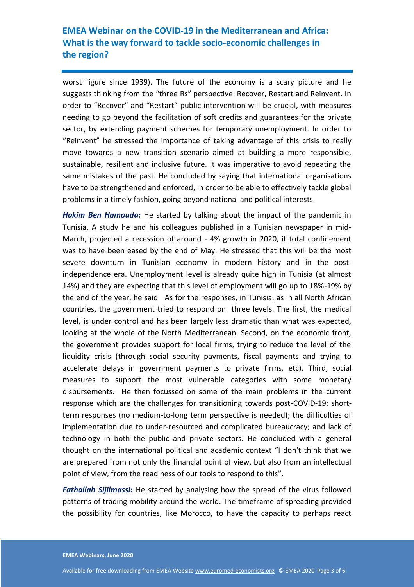worst figure since 1939). The future of the economy is a scary picture and he suggests thinking from the "three Rs" perspective: Recover, Restart and Reinvent. In order to "Recover" and "Restart" public intervention will be crucial, with measures needing to go beyond the facilitation of soft credits and guarantees for the private sector, by extending payment schemes for temporary unemployment. In order to "Reinvent" he stressed the importance of taking advantage of this crisis to really move towards a new transition scenario aimed at building a more responsible, sustainable, resilient and inclusive future. It was imperative to avoid repeating the same mistakes of the past. He concluded by saying that international organisations have to be strengthened and enforced, in order to be able to effectively tackle global problems in a timely fashion, going beyond national and political interests.

*Hakim Ben Hamouda:* He started by talking about the impact of the pandemic in Tunisia. A study he and his colleagues published in a Tunisian newspaper in mid-March, projected a recession of around - 4% growth in 2020, if total confinement was to have been eased by the end of May. He stressed that this will be the most severe downturn in Tunisian economy in modern history and in the postindependence era. Unemployment level is already quite high in Tunisia (at almost 14%) and they are expecting that this level of employment will go up to 18%-19% by the end of the year, he said. As for the responses, in Tunisia, as in all North African countries, the government tried to respond on three levels. The first, the medical level, is under control and has been largely less dramatic than what was expected, looking at the whole of the North Mediterranean. Second, on the economic front, the government provides support for local firms, trying to reduce the level of the liquidity crisis (through social security payments, fiscal payments and trying to accelerate delays in government payments to private firms, etc). Third, social measures to support the most vulnerable categories with some monetary disbursements. He then focussed on some of the main problems in the current response which are the challenges for transitioning towards post-COVID-19: shortterm responses (no medium-to-long term perspective is needed); the difficulties of implementation due to under-resourced and complicated bureaucracy; and lack of technology in both the public and private sectors. He concluded with a general thought on the international political and academic context "I don't think that we are prepared from not only the financial point of view, but also from an intellectual point of view, from the readiness of our tools to respond to this".

*Fathallah Sijilmassi:* He started by analysing how the spread of the virus followed patterns of trading mobility around the world. The timeframe of spreading provided the possibility for countries, like Morocco, to have the capacity to perhaps react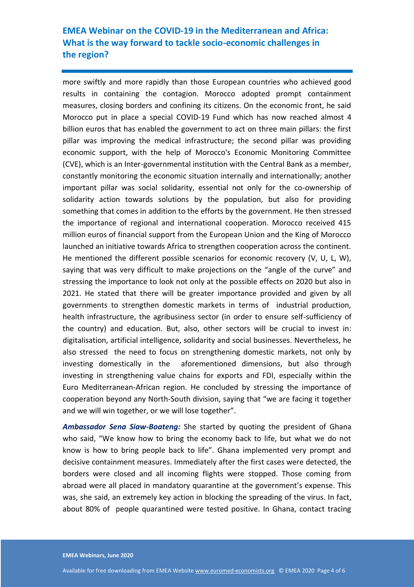more swiftly and more rapidly than those European countries who achieved good results in containing the contagion. Morocco adopted prompt containment measures, closing borders and confining its citizens. On the economic front, he said Morocco put in place a special COVID-19 Fund which has now reached almost 4 billion euros that has enabled the government to act on three main pillars: the first pillar was improving the medical infrastructure; the second pillar was providing economic support, with the help of Morocco's Economic Monitoring Committee (CVE), which is an Inter-governmental institution with the Central Bank as a member, constantly monitoring the economic situation internally and internationally; another important pillar was social solidarity, essential not only for the co-ownership of solidarity action towards solutions by the population, but also for providing something that comes in addition to the efforts by the government. He then stressed the importance of regional and international cooperation. Morocco received 415 million euros of financial support from the European Union and the King of Morocco launched an initiative towards Africa to strengthen cooperation across the continent. He mentioned the different possible scenarios for economic recovery (V, U, L, W), saying that was very difficult to make projections on the "angle of the curve" and stressing the importance to look not only at the possible effects on 2020 but also in 2021. He stated that there will be greater importance provided and given by all governments to strengthen domestic markets in terms of industrial production, health infrastructure, the agribusiness sector (in order to ensure self-sufficiency of the country) and education. But, also, other sectors will be crucial to invest in: digitalisation, artificial intelligence, solidarity and social businesses. Nevertheless, he also stressed the need to focus on strengthening domestic markets, not only by investing domestically in the aforementioned dimensions, but also through investing in strengthening value chains for exports and FDI, especially within the Euro Mediterranean-African region. He concluded by stressing the importance of cooperation beyond any North-South division, saying that "we are facing it together and we will win together, or we will lose together".

*Ambassador Sena Siaw-Boateng:* She started by quoting the president of Ghana who said, "We know how to bring the economy back to life, but what we do not know is how to bring people back to life". Ghana implemented very prompt and decisive containment measures. Immediately after the first cases were detected, the borders were closed and all incoming flights were stopped. Those coming from abroad were all placed in mandatory quarantine at the government's expense. This was, she said, an extremely key action in blocking the spreading of the virus. In fact, about 80% of people quarantined were tested positive. In Ghana, contact tracing

**EMEA Webinars, June 2020**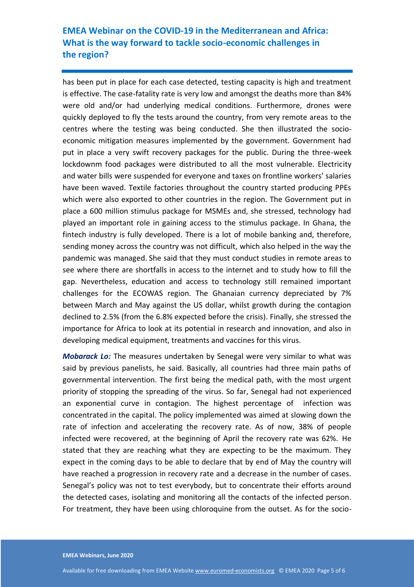has been put in place for each case detected, testing capacity is high and treatment is effective. The case-fatality rate is very low and amongst the deaths more than 84% were old and/or had underlying medical conditions. Furthermore, drones were quickly deployed to fly the tests around the country, from very remote areas to the centres where the testing was being conducted. She then illustrated the socioeconomic mitigation measures implemented by the government. Government had put in place a very swift recovery packages for the public. During the three-week lockdownm food packages were distributed to all the most vulnerable. Electricity and water bills were suspended for everyone and taxes on frontline workers' salaries have been waved. Textile factories throughout the country started producing PPEs which were also exported to other countries in the region. The Government put in place a 600 million stimulus package for MSMEs and, she stressed, technology had played an important role in gaining access to the stimulus package. In Ghana, the fintech industry is fully developed. There is a lot of mobile banking and, therefore, sending money across the country was not difficult, which also helped in the way the pandemic was managed. She said that they must conduct studies in remote areas to see where there are shortfalls in access to the internet and to study how to fill the gap. Nevertheless, education and access to technology still remained important challenges for the ECOWAS region. The Ghanaian currency depreciated by 7% between March and May against the US dollar, whilst growth during the contagion declined to 2.5% (from the 6.8% expected before the crisis). Finally, she stressed the importance for Africa to look at its potential in research and innovation, and also in developing medical equipment, treatments and vaccines for this virus.

*Mobarack Lo:* The measures undertaken by Senegal were very similar to what was said by previous panelists, he said. Basically, all countries had three main paths of governmental intervention. The first being the medical path, with the most urgent priority of stopping the spreading of the virus. So far, Senegal had not experienced an exponential curve in contagion. The highest percentage of infection was concentrated in the capital. The policy implemented was aimed at slowing down the rate of infection and accelerating the recovery rate. As of now, 38% of people infected were recovered, at the beginning of April the recovery rate was 62%. He stated that they are reaching what they are expecting to be the maximum. They expect in the coming days to be able to declare that by end of May the country will have reached a progression in recovery rate and a decrease in the number of cases. Senegal's policy was not to test everybody, but to concentrate their efforts around the detected cases, isolating and monitoring all the contacts of the infected person. For treatment, they have been using chloroquine from the outset. As for the socio-